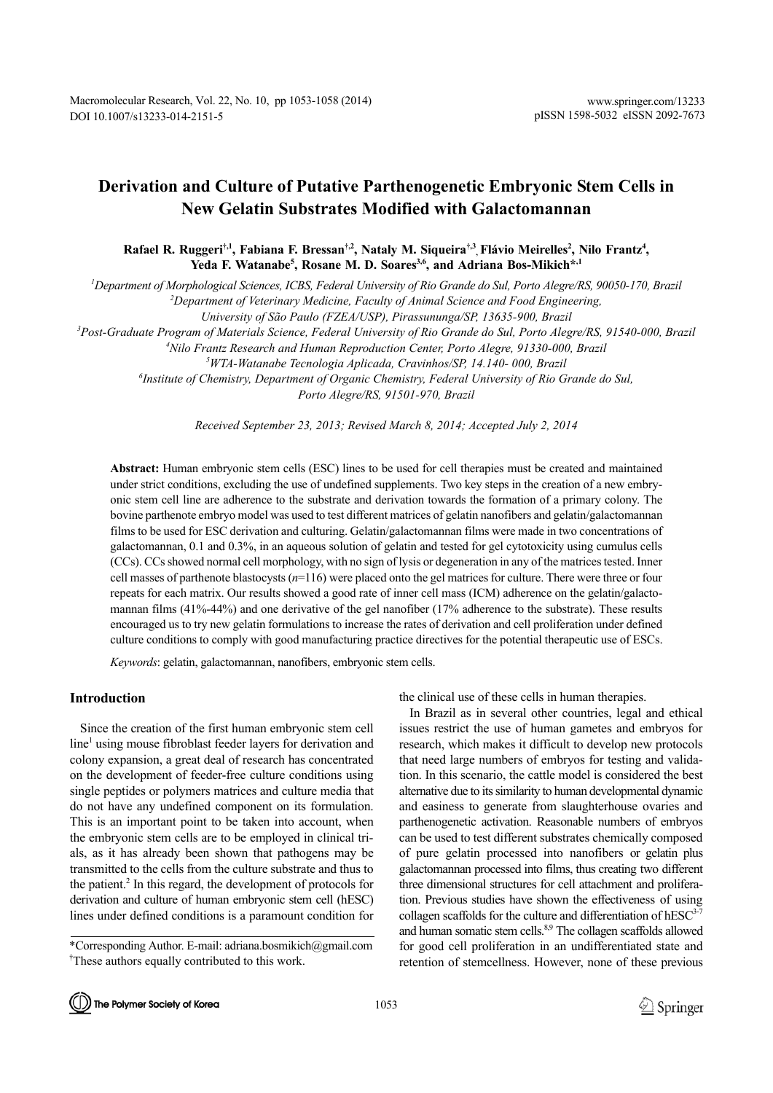# **Derivation and Culture of Putative Parthenogenetic Embryonic Stem Cells in New Gelatin Substrates Modified with Galactomannan**

Rafael R. Ruggeri<sup>†,1</sup>, Fabiana F. Bressan<sup>†,2</sup>, Nataly M. Siqueira<sup>†,3</sup>, Flávio Meirelles<sup>2</sup>, Nilo Frantz<sup>4</sup>, Yeda F. Watanabe<sup>5</sup>, Rosane M. D. Soares<sup>3,6</sup>, and Adriana Bos-Mikich<sup>\*,1</sup>

*1 Department of Morphological Sciences, ICBS, Federal University of Rio Grande do Sul, Porto Alegre/RS, 90050-170, Brazil*

*2 Department of Veterinary Medicine, Faculty of Animal Science and Food Engineering,*

*University of São Paulo (FZEA/USP), Pirassununga/SP, 13635-900, Brazil*

*3 Post-Graduate Program of Materials Science, Federal University of Rio Grande do Sul, Porto Alegre/RS, 91540-000, Brazil*

*4 Nilo Frantz Research and Human Reproduction Center, Porto Alegre, 91330-000, Brazil*

*5 WTA-Watanabe Tecnologia Aplicada, Cravinhos/SP, 14.140- 000, Brazil*

*6 Institute of Chemistry, Department of Organic Chemistry, Federal University of Rio Grande do Sul,* 

*Porto Alegre/RS, 91501-970, Brazil*

*Received September 23, 2013; Revised March 8, 2014; Accepted July 2, 2014*

**Abstract:** Human embryonic stem cells (ESC) lines to be used for cell therapies must be created and maintained under strict conditions, excluding the use of undefined supplements. Two key steps in the creation of a new embryonic stem cell line are adherence to the substrate and derivation towards the formation of a primary colony. The bovine parthenote embryo model was used to test different matrices of gelatin nanofibers and gelatin/galactomannan films to be used for ESC derivation and culturing. Gelatin/galactomannan films were made in two concentrations of galactomannan, 0.1 and 0.3%, in an aqueous solution of gelatin and tested for gel cytotoxicity using cumulus cells (CCs). CCs showed normal cell morphology, with no sign of lysis or degeneration in any of the matrices tested. Inner cell masses of parthenote blastocysts (*n*=116) were placed onto the gel matrices for culture. There were three or four repeats for each matrix. Our results showed a good rate of inner cell mass (ICM) adherence on the gelatin/galactomannan films (41%-44%) and one derivative of the gel nanofiber (17% adherence to the substrate). These results encouraged us to try new gelatin formulations to increase the rates of derivation and cell proliferation under defined culture conditions to comply with good manufacturing practice directives for the potential therapeutic use of ESCs.

*Keywords*: gelatin, galactomannan, nanofibers, embryonic stem cells.

## **Introduction**

Since the creation of the first human embryonic stem cell line<sup>1</sup> using mouse fibroblast feeder layers for derivation and colony expansion, a great deal of research has concentrated on the development of feeder-free culture conditions using single peptides or polymers matrices and culture media that do not have any undefined component on its formulation. This is an important point to be taken into account, when the embryonic stem cells are to be employed in clinical trials, as it has already been shown that pathogens may be transmitted to the cells from the culture substrate and thus to the patient.<sup>2</sup> In this regard, the development of protocols for derivation and culture of human embryonic stem cell (hESC) lines under defined conditions is a paramount condition for

\*Corresponding Author. E-mail: adriana.bosmikich@gmail.com <sup>†</sup>These authors equally contributed to this work.

the clinical use of these cells in human therapies.

In Brazil as in several other countries, legal and ethical issues restrict the use of human gametes and embryos for research, which makes it difficult to develop new protocols that need large numbers of embryos for testing and validation. In this scenario, the cattle model is considered the best alternative due to its similarity to human developmental dynamic and easiness to generate from slaughterhouse ovaries and parthenogenetic activation. Reasonable numbers of embryos can be used to test different substrates chemically composed of pure gelatin processed into nanofibers or gelatin plus galactomannan processed into films, thus creating two different three dimensional structures for cell attachment and proliferation. Previous studies have shown the effectiveness of using collagen scaffolds for the culture and differentiation of hESC<sup>3-7</sup> and human somatic stem cells.<sup>8,9</sup> The collagen scaffolds allowed for good cell proliferation in an undifferentiated state and retention of stemcellness. However, none of these previous

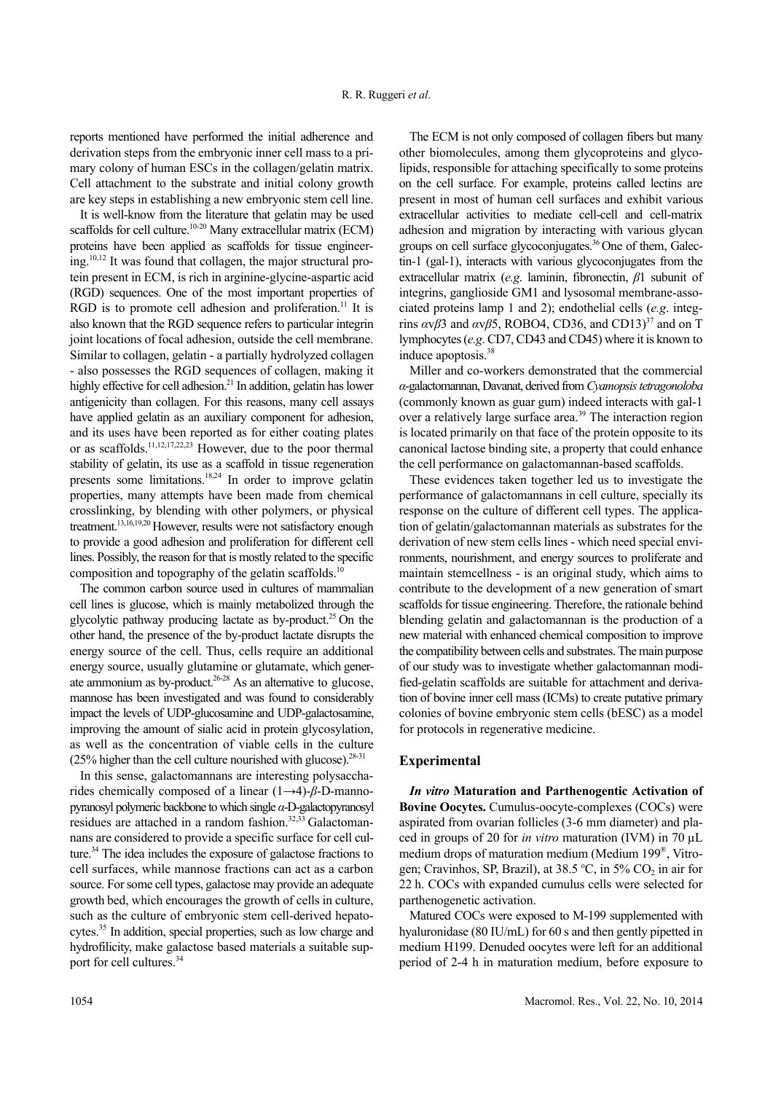reports mentioned have performed the initial adherence and derivation steps from the embryonic inner cell mass to a primary colony of human ESCs in the collagen/gelatin matrix. Cell attachment to the substrate and initial colony growth are key steps in establishing a new embryonic stem cell line.

It is well-know from the literature that gelatin may be used scaffolds for cell culture.<sup>10-20</sup> Many extracellular matrix (ECM) proteins have been applied as scaffolds for tissue engineering.10,12 It was found that collagen, the major structural protein present in ECM, is rich in arginine-glycine-aspartic acid (RGD) sequences. One of the most important properties of RGD is to promote cell adhesion and proliferation.<sup>11</sup> It is also known that the RGD sequence refers to particular integrin joint locations of focal adhesion, outside the cell membrane. Similar to collagen, gelatin - a partially hydrolyzed collagen - also possesses the RGD sequences of collagen, making it highly effective for cell adhesion.<sup>21</sup> In addition, gelatin has lower antigenicity than collagen. For this reasons, many cell assays have applied gelatin as an auxiliary component for adhesion, and its uses have been reported as for either coating plates or as scaffolds.<sup>11,12,17,22,23</sup> However, due to the poor thermal stability of gelatin, its use as a scaffold in tissue regeneration presents some limitations.18,24 In order to improve gelatin properties, many attempts have been made from chemical crosslinking, by blending with other polymers, or physical treatment.13,16,19,20 However, results were not satisfactory enough to provide a good adhesion and proliferation for different cell lines. Possibly, the reason for that is mostly related to the specific composition and topography of the gelatin scaffolds.<sup>10</sup>

The common carbon source used in cultures of mammalian cell lines is glucose, which is mainly metabolized through the glycolytic pathway producing lactate as by-product.<sup>25</sup> On the other hand, the presence of the by-product lactate disrupts the energy source of the cell. Thus, cells require an additional energy source, usually glutamine or glutamate, which generate ammonium as by-product. $26-28$  As an alternative to glucose, mannose has been investigated and was found to considerably impact the levels of UDP-glucosamine and UDP-galactosamine, improving the amount of sialic acid in protein glycosylation, as well as the concentration of viable cells in the culture (25% higher than the cell culture nourished with glucose). $28-31$ 

In this sense, galactomannans are interesting polysaccharides chemically composed of a linear (1→4)-*β*-D-mannopyranosyl polymeric backbone to which single *α*-D-galactopyranosyl residues are attached in a random fashion. $32,33$  Galactomannans are considered to provide a specific surface for cell culture.<sup>34</sup> The idea includes the exposure of galactose fractions to cell surfaces, while mannose fractions can act as a carbon source. For some cell types, galactose may provide an adequate growth bed, which encourages the growth of cells in culture, such as the culture of embryonic stem cell-derived hepatocytes.<sup>35</sup> In addition, special properties, such as low charge and hydrofilicity, make galactose based materials a suitable support for cell cultures.34

The ECM is not only composed of collagen fibers but many other biomolecules, among them glycoproteins and glycolipids, responsible for attaching specifically to some proteins on the cell surface. For example, proteins called lectins are present in most of human cell surfaces and exhibit various extracellular activities to mediate cell-cell and cell-matrix adhesion and migration by interacting with various glycan groups on cell surface glycoconjugates.<sup>36</sup> One of them, Galectin-1 (gal-1), interacts with various glycoconjugates from the extracellular matrix (*e.g*. laminin, fibronectin, *β*1 subunit of integrins, ganglioside GM1 and lysosomal membrane-associated proteins lamp 1 and 2); endothelial cells (*e.g*. integrins  $\alpha \nu \beta$ 3 and  $\alpha \nu \beta$ 5, ROBO4, CD36, and CD13)<sup>37</sup> and on T lymphocytes (*e.g*. CD7, CD43 and CD45) where it is known to induce apoptosis.38

Miller and co-workers demonstrated that the commercial *α*-galactomannan, Davanat, derived from *Cyamopsis tetragonoloba* (commonly known as guar gum) indeed interacts with gal-1 over a relatively large surface area.<sup>39</sup> The interaction region is located primarily on that face of the protein opposite to its canonical lactose binding site, a property that could enhance the cell performance on galactomannan-based scaffolds.

These evidences taken together led us to investigate the performance of galactomannans in cell culture, specially its response on the culture of different cell types. The application of gelatin/galactomannan materials as substrates for the derivation of new stem cells lines - which need special environments, nourishment, and energy sources to proliferate and maintain stemcellness - is an original study, which aims to contribute to the development of a new generation of smart scaffolds for tissue engineering. Therefore, the rationale behind blending gelatin and galactomannan is the production of a new material with enhanced chemical composition to improve the compatibility between cells and substrates. The main purpose of our study was to investigate whether galactomannan modified-gelatin scaffolds are suitable for attachment and derivation of bovine inner cell mass (ICMs) to create putative primary colonies of bovine embryonic stem cells (bESC) as a model for protocols in regenerative medicine.

#### **Experimental**

*In vitro* **Maturation and Parthenogentic Activation of Bovine Oocytes.** Cumulus-oocyte-complexes (COCs) were aspirated from ovarian follicles (3-6 mm diameter) and placed in groups of 20 for *in vitro* maturation (IVM) in 70 µL medium drops of maturation medium (Medium 199®, Vitrogen; Cravinhos, SP, Brazil), at 38.5 °C, in 5% CO<sub>2</sub> in air for 22 h. COCs with expanded cumulus cells were selected for parthenogenetic activation.

Matured COCs were exposed to M-199 supplemented with hyaluronidase (80 IU/mL) for 60 s and then gently pipetted in medium H199. Denuded oocytes were left for an additional period of 2-4 h in maturation medium, before exposure to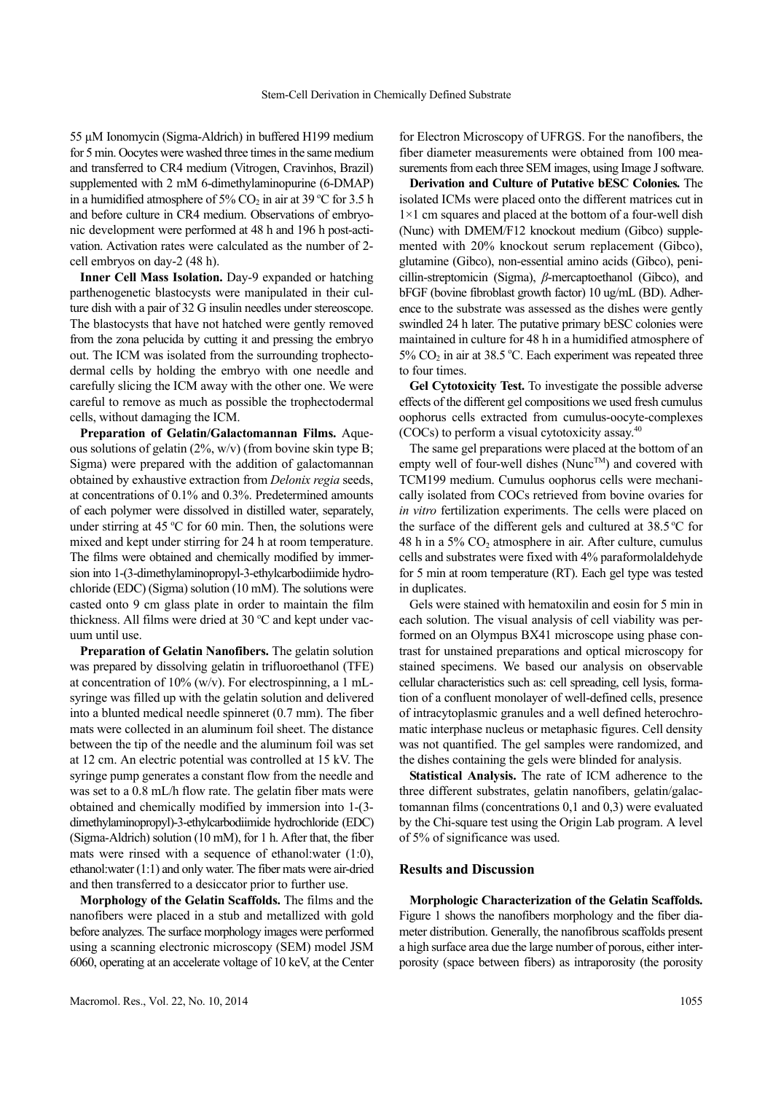55 µM Ionomycin (Sigma-Aldrich) in buffered H199 medium for 5 min. Oocytes were washed three times in the same medium and transferred to CR4 medium (Vitrogen, Cravinhos, Brazil) supplemented with 2 mM 6-dimethylaminopurine (6-DMAP) in a humidified atmosphere of  $5\%$  CO<sub>2</sub> in air at 39 °C for 3.5 h and before culture in CR4 medium. Observations of embryonic development were performed at 48 h and 196 h post-activation. Activation rates were calculated as the number of 2 cell embryos on day-2 (48 h).

**Inner Cell Mass Isolation.** Day-9 expanded or hatching parthenogenetic blastocysts were manipulated in their culture dish with a pair of 32 G insulin needles under stereoscope. The blastocysts that have not hatched were gently removed from the zona pelucida by cutting it and pressing the embryo out. The ICM was isolated from the surrounding trophectodermal cells by holding the embryo with one needle and carefully slicing the ICM away with the other one. We were careful to remove as much as possible the trophectodermal cells, without damaging the ICM.

**Preparation of Gelatin/Galactomannan Films.** Aqueous solutions of gelatin  $(2\%, w/v)$  (from bovine skin type B; Sigma) were prepared with the addition of galactomannan obtained by exhaustive extraction from *Delonix regia* seeds, at concentrations of 0.1% and 0.3%. Predetermined amounts of each polymer were dissolved in distilled water, separately, under stirring at 45  $\mathrm{^{\circ}C}$  for 60 min. Then, the solutions were mixed and kept under stirring for 24 h at room temperature. The films were obtained and chemically modified by immersion into 1-(3-dimethylaminopropyl-3-ethylcarbodiimide hydrochloride (EDC) (Sigma) solution (10 mM). The solutions were casted onto 9 cm glass plate in order to maintain the film thickness. All films were dried at 30  $^{\circ}$ C and kept under vacuum until use.

**Preparation of Gelatin Nanofibers.** The gelatin solution was prepared by dissolving gelatin in trifluoroethanol (TFE) at concentration of 10% (w/v). For electrospinning, a 1 mLsyringe was filled up with the gelatin solution and delivered into a blunted medical needle spinneret (0.7 mm). The fiber mats were collected in an aluminum foil sheet. The distance between the tip of the needle and the aluminum foil was set at 12 cm. An electric potential was controlled at 15 kV. The syringe pump generates a constant flow from the needle and was set to a 0.8 mL/h flow rate. The gelatin fiber mats were obtained and chemically modified by immersion into 1-(3 dimethylaminopropyl)-3-ethylcarbodiimide hydrochloride (EDC) (Sigma-Aldrich) solution (10 mM), for 1 h. After that, the fiber mats were rinsed with a sequence of ethanol:water (1:0), ethanol:water (1:1) and only water. The fiber mats were air-dried and then transferred to a desiccator prior to further use.

**Morphology of the Gelatin Scaffolds.** The films and the nanofibers were placed in a stub and metallized with gold before analyzes. The surface morphology images were performed using a scanning electronic microscopy (SEM) model JSM 6060, operating at an accelerate voltage of 10 keV, at the Center

for Electron Microscopy of UFRGS. For the nanofibers, the fiber diameter measurements were obtained from 100 measurements from each three SEM images, using Image J software.

**Derivation and Culture of Putative bESC Colonies.** The isolated ICMs were placed onto the different matrices cut in 1×1 cm squares and placed at the bottom of a four-well dish (Nunc) with DMEM/F12 knockout medium (Gibco) supplemented with 20% knockout serum replacement (Gibco), glutamine (Gibco), non-essential amino acids (Gibco), penicillin-streptomicin (Sigma), *β*-mercaptoethanol (Gibco), and bFGF (bovine fibroblast growth factor) 10 ug/mL (BD). Adherence to the substrate was assessed as the dishes were gently swindled 24 h later. The putative primary bESC colonies were maintained in culture for 48 h in a humidified atmosphere of 5%  $CO<sub>2</sub>$  in air at 38.5 °C. Each experiment was repeated three to four times.

**Gel Cytotoxicity Test.** To investigate the possible adverse effects of the different gel compositions we used fresh cumulus oophorus cells extracted from cumulus-oocyte-complexes (COCs) to perform a visual cytotoxicity assay.40

The same gel preparations were placed at the bottom of an empty well of four-well dishes (Nunc™) and covered with TCM199 medium. Cumulus oophorus cells were mechanically isolated from COCs retrieved from bovine ovaries for *in vitro* fertilization experiments. The cells were placed on the surface of the different gels and cultured at 38.5 °C for 48 h in a  $5\%$  CO<sub>2</sub> atmosphere in air. After culture, cumulus cells and substrates were fixed with 4% paraformolaldehyde for 5 min at room temperature (RT). Each gel type was tested in duplicates.

Gels were stained with hematoxilin and eosin for 5 min in each solution. The visual analysis of cell viability was performed on an Olympus BX41 microscope using phase contrast for unstained preparations and optical microscopy for stained specimens. We based our analysis on observable cellular characteristics such as: cell spreading, cell lysis, formation of a confluent monolayer of well-defined cells, presence of intracytoplasmic granules and a well defined heterochromatic interphase nucleus or metaphasic figures. Cell density was not quantified. The gel samples were randomized, and the dishes containing the gels were blinded for analysis.

**Statistical Analysis.** The rate of ICM adherence to the three different substrates, gelatin nanofibers, gelatin/galactomannan films (concentrations 0,1 and 0,3) were evaluated by the Chi-square test using the Origin Lab program. A level of 5% of significance was used.

#### **Results and Discussion**

**Morphologic Characterization of the Gelatin Scaffolds.** Figure 1 shows the nanofibers morphology and the fiber diameter distribution. Generally, the nanofibrous scaffolds present a high surface area due the large number of porous, either interporosity (space between fibers) as intraporosity (the porosity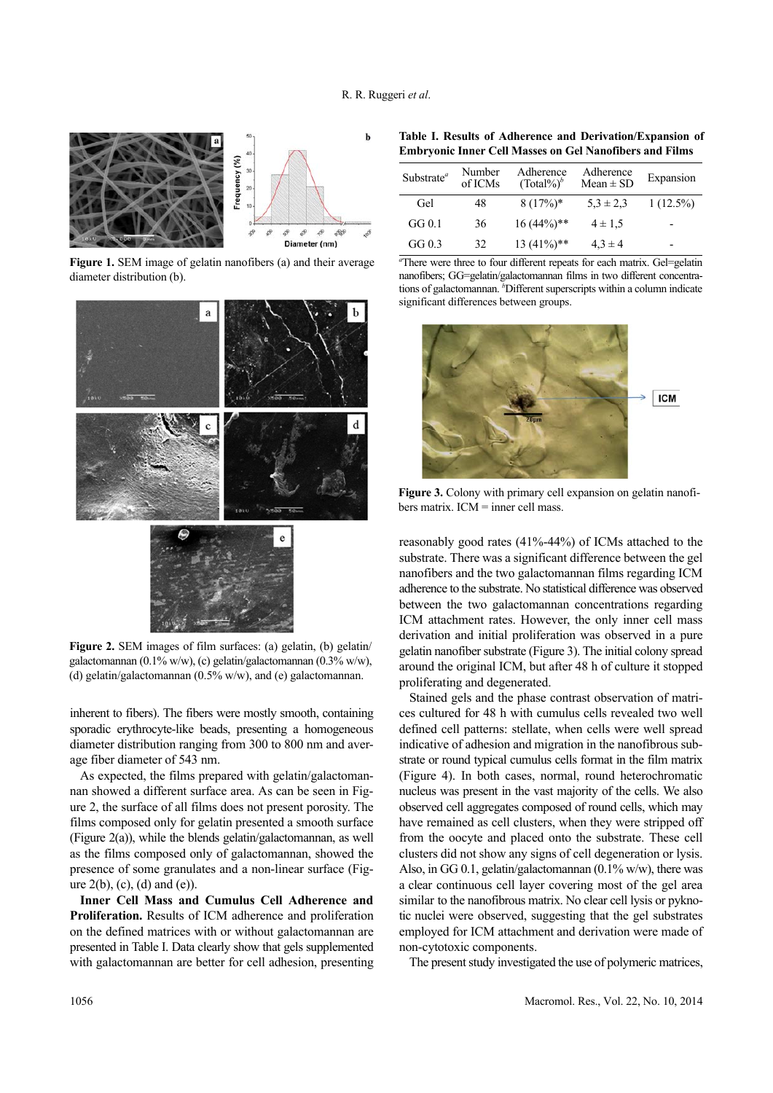

**Figure 1.** SEM image of gelatin nanofibers (a) and their average diameter distribution (b).



**Figure 2.** SEM images of film surfaces: (a) gelatin, (b) gelatin/ galactomannan (0.1% w/w), (c) gelatin/galactomannan (0.3% w/w), (d) gelatin/galactomannan (0.5% w/w), and (e) galactomannan.

inherent to fibers). The fibers were mostly smooth, containing sporadic erythrocyte-like beads, presenting a homogeneous diameter distribution ranging from 300 to 800 nm and average fiber diameter of 543 nm.

As expected, the films prepared with gelatin/galactomannan showed a different surface area. As can be seen in Figure 2, the surface of all films does not present porosity. The films composed only for gelatin presented a smooth surface (Figure 2(a)), while the blends gelatin/galactomannan, as well as the films composed only of galactomannan, showed the presence of some granulates and a non-linear surface (Figure  $2(b)$ , (c), (d) and (e)).

**Inner Cell Mass and Cumulus Cell Adherence and Proliferation.** Results of ICM adherence and proliferation on the defined matrices with or without galactomannan are presented in Table I. Data clearly show that gels supplemented with galactomannan are better for cell adhesion, presenting

**Table I. Results of Adherence and Derivation/Expansion of Embryonic Inner Cell Masses on Gel Nanofibers and Films**

| Substrate <sup>a</sup> | Number<br>of ICMs | Adherence<br>$(Total\%)^b$ | Adherence<br>$Mean \pm SD$ | Expansion                |
|------------------------|-------------------|----------------------------|----------------------------|--------------------------|
| Gel                    | 48                | $8(17%)^*$                 | $5.3 \pm 2.3$              | $1(12.5\%)$              |
| GG 0.1                 | 36                | $16(44\%)$ **              | $4 \pm 1.5$                | $\overline{\phantom{a}}$ |
| GG 0.3                 | 32                | $13(41\%)$ **              | $4.3 \pm 4$                | -                        |

<sup>a</sup>There were three to four different repeats for each matrix. Gel=gelatin nanofibers; GG=gelatin/galactomannan films in two different concentrations of galactomannan. *<sup>b</sup>* Different superscripts within a column indicate significant differences between groups.



**Figure 3.** Colony with primary cell expansion on gelatin nanofibers matrix. ICM = inner cell mass.

reasonably good rates (41%-44%) of ICMs attached to the substrate. There was a significant difference between the gel nanofibers and the two galactomannan films regarding ICM adherence to the substrate. No statistical difference was observed between the two galactomannan concentrations regarding ICM attachment rates. However, the only inner cell mass derivation and initial proliferation was observed in a pure gelatin nanofiber substrate (Figure 3). The initial colony spread around the original ICM, but after 48 h of culture it stopped proliferating and degenerated.

Stained gels and the phase contrast observation of matrices cultured for 48 h with cumulus cells revealed two well defined cell patterns: stellate, when cells were well spread indicative of adhesion and migration in the nanofibrous substrate or round typical cumulus cells format in the film matrix (Figure 4). In both cases, normal, round heterochromatic nucleus was present in the vast majority of the cells. We also observed cell aggregates composed of round cells, which may have remained as cell clusters, when they were stripped off from the oocyte and placed onto the substrate. These cell clusters did not show any signs of cell degeneration or lysis. Also, in GG 0.1, gelatin/galactomannan  $(0.1\%$  w/w), there was a clear continuous cell layer covering most of the gel area similar to the nanofibrous matrix. No clear cell lysis or pyknotic nuclei were observed, suggesting that the gel substrates employed for ICM attachment and derivation were made of non-cytotoxic components.

The present study investigated the use of polymeric matrices,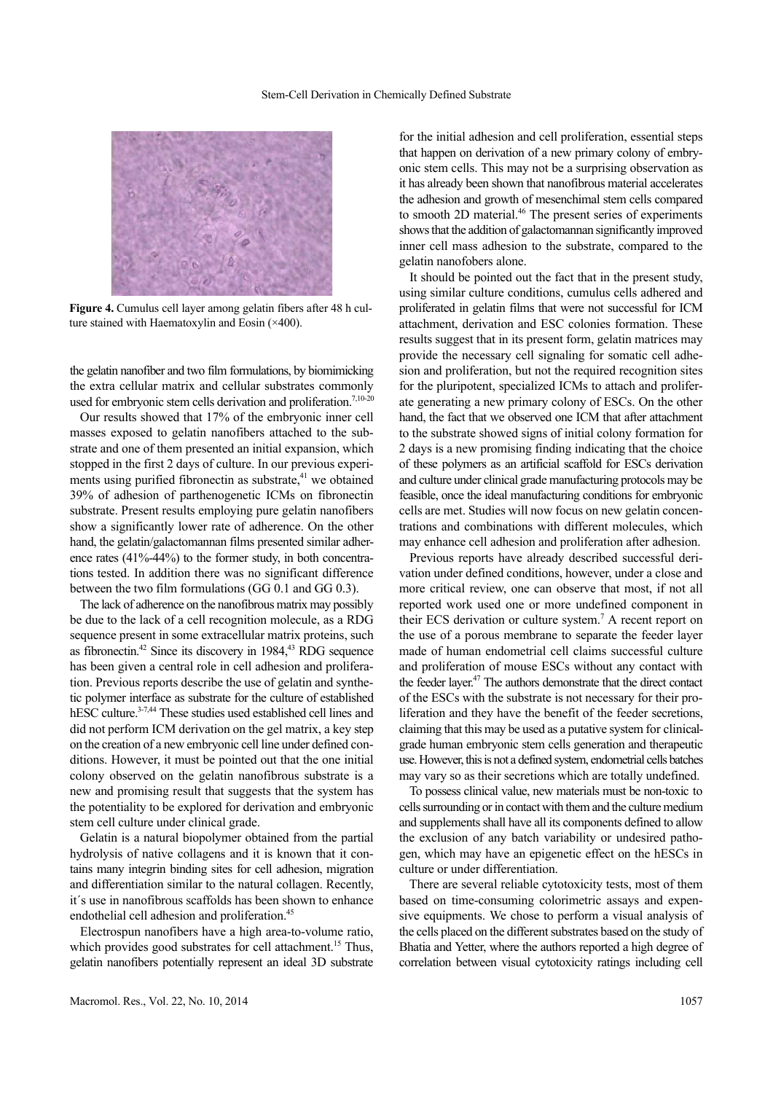

**Figure 4.** Cumulus cell layer among gelatin fibers after 48 h culture stained with Haematoxylin and Eosin (×400).

the gelatin nanofiber and two film formulations, by biomimicking the extra cellular matrix and cellular substrates commonly used for embryonic stem cells derivation and proliferation.<sup>7,10-20</sup>

Our results showed that 17% of the embryonic inner cell masses exposed to gelatin nanofibers attached to the substrate and one of them presented an initial expansion, which stopped in the first 2 days of culture. In our previous experiments using purified fibronectin as substrate,<sup>41</sup> we obtained 39% of adhesion of parthenogenetic ICMs on fibronectin substrate. Present results employing pure gelatin nanofibers show a significantly lower rate of adherence. On the other hand, the gelatin/galactomannan films presented similar adherence rates (41%-44%) to the former study, in both concentrations tested. In addition there was no significant difference between the two film formulations (GG 0.1 and GG 0.3).

The lack of adherence on the nanofibrous matrix may possibly be due to the lack of a cell recognition molecule, as a RDG sequence present in some extracellular matrix proteins, such as fibronectin.<sup>42</sup> Since its discovery in  $1984$ ,<sup>43</sup> RDG sequence has been given a central role in cell adhesion and proliferation. Previous reports describe the use of gelatin and synthetic polymer interface as substrate for the culture of established hESC culture.<sup>3-7,44</sup> These studies used established cell lines and did not perform ICM derivation on the gel matrix, a key step on the creation of a new embryonic cell line under defined conditions. However, it must be pointed out that the one initial colony observed on the gelatin nanofibrous substrate is a new and promising result that suggests that the system has the potentiality to be explored for derivation and embryonic stem cell culture under clinical grade.

Gelatin is a natural biopolymer obtained from the partial hydrolysis of native collagens and it is known that it contains many integrin binding sites for cell adhesion, migration and differentiation similar to the natural collagen. Recently, it´s use in nanofibrous scaffolds has been shown to enhance endothelial cell adhesion and proliferation.<sup>45</sup>

Electrospun nanofibers have a high area-to-volume ratio, which provides good substrates for cell attachment.<sup>15</sup> Thus, gelatin nanofibers potentially represent an ideal 3D substrate for the initial adhesion and cell proliferation, essential steps that happen on derivation of a new primary colony of embryonic stem cells. This may not be a surprising observation as it has already been shown that nanofibrous material accelerates the adhesion and growth of mesenchimal stem cells compared to smooth 2D material.<sup>46</sup> The present series of experiments shows that the addition of galactomannan significantly improved inner cell mass adhesion to the substrate, compared to the gelatin nanofobers alone.

It should be pointed out the fact that in the present study, using similar culture conditions, cumulus cells adhered and proliferated in gelatin films that were not successful for ICM attachment, derivation and ESC colonies formation. These results suggest that in its present form, gelatin matrices may provide the necessary cell signaling for somatic cell adhesion and proliferation, but not the required recognition sites for the pluripotent, specialized ICMs to attach and proliferate generating a new primary colony of ESCs. On the other hand, the fact that we observed one ICM that after attachment to the substrate showed signs of initial colony formation for 2 days is a new promising finding indicating that the choice of these polymers as an artificial scaffold for ESCs derivation and culture under clinical grade manufacturing protocols may be feasible, once the ideal manufacturing conditions for embryonic cells are met. Studies will now focus on new gelatin concentrations and combinations with different molecules, which may enhance cell adhesion and proliferation after adhesion.

Previous reports have already described successful derivation under defined conditions, however, under a close and more critical review, one can observe that most, if not all reported work used one or more undefined component in their ECS derivation or culture system.<sup>7</sup> A recent report on the use of a porous membrane to separate the feeder layer made of human endometrial cell claims successful culture and proliferation of mouse ESCs without any contact with the feeder layer.47 The authors demonstrate that the direct contact of the ESCs with the substrate is not necessary for their proliferation and they have the benefit of the feeder secretions, claiming that this may be used as a putative system for clinicalgrade human embryonic stem cells generation and therapeutic use. However, this is not a defined system, endometrial cells batches may vary so as their secretions which are totally undefined.

To possess clinical value, new materials must be non-toxic to cells surrounding or in contact with them and the culture medium and supplements shall have all its components defined to allow the exclusion of any batch variability or undesired pathogen, which may have an epigenetic effect on the hESCs in culture or under differentiation.

There are several reliable cytotoxicity tests, most of them based on time-consuming colorimetric assays and expensive equipments. We chose to perform a visual analysis of the cells placed on the different substrates based on the study of Bhatia and Yetter, where the authors reported a high degree of correlation between visual cytotoxicity ratings including cell